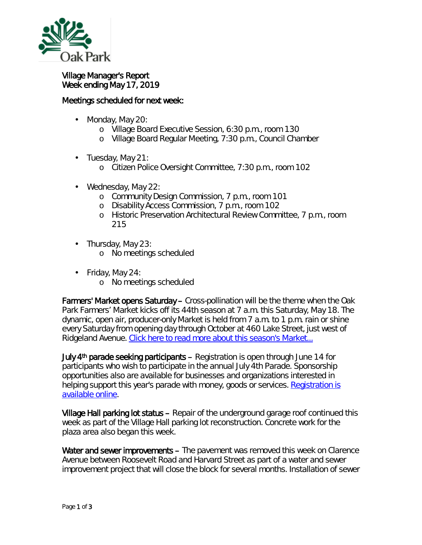

## Village Manager's Report Week ending May 17, 2019

## Meetings scheduled for next week:

- Monday, May 20: ä,
	- o Village Board Executive Session, 6:30 p.m., room 130
	- o Village Board Regular Meeting, 7:30 p.m., Council Chamber
- $\cdot$  Tuesday, May 21:
	- o Citizen Police Oversight Committee, 7:30 p.m., room 102
- Wednesday, May 22: ä,
	- o Community Design Commission, 7 p.m., room 101
	- o Disability Access Commission, 7 p.m., room 102
	- o Historic Preservation Architectural Review Committee, 7 p.m., room 215
- . Thursday, May 23:
	- o No meetings scheduled
- $\cdot$  Friday, May 24:
	- o No meetings scheduled

Farmers' Market opens Saturday – Cross-pollination will be the theme when the Oak Park Farmers' Market kicks off its 44th season at 7 a.m. this Saturday, May 18. The dynamic, open air, producer-only Market is held from 7 a.m. to 1 p.m. rain or shine every Saturday from opening day through October at 460 Lake Street, just west of Ridgeland Avenue. [Click here to read more about this season's Market...](https://www.oak-park.us/news/farmers-market-kick-44th-season)

July 4<sup>th</sup> parade seeking participants – Registration is open through June 14 for participants who wish to participate in the annual July 4th Parade. Sponsorship opportunities also are available for businesses and organizations interested in helping support this year's parade with money, goods or services. Registration is [available online.](https://www.oak-park.us/our-community/community-events/july-4-parade/july-4-parade-participation-application)

Village Hall parking lot status – Repair of the underground garage roof continued this week as part of the Village Hall parking lot reconstruction. Concrete work for the plaza area also began this week.

Water and sewer improvements – The pavement was removed this week on Clarence Avenue between Roosevelt Road and Harvard Street as part of a water and sewer improvement project that will close the block for several months. Installation of sewer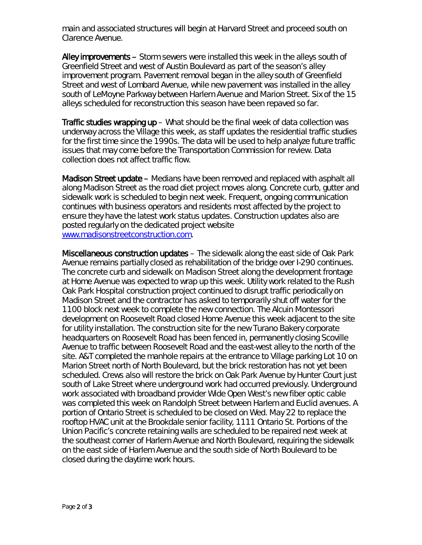main and associated structures will begin at Harvard Street and proceed south on Clarence Avenue.

Alley improvements – Storm sewers were installed this week in the alleys south of Greenfield Street and west of Austin Boulevard as part of the season's alley improvement program. Pavement removal began in the alley south of Greenfield Street and west of Lombard Avenue, while new pavement was installed in the alley south of LeMoyne Parkway between Harlem Avenue and Marion Street. Six of the 15 alleys scheduled for reconstruction this season have been repaved so far.

Traffic studies wrapping up – What should be the final week of data collection was underway across the Village this week, as staff updates the residential traffic studies for the first time since the 1990s. The data will be used to help analyze future traffic issues that may come before the Transportation Commission for review. Data collection does not affect traffic flow.

Madison Street update – Medians have been removed and replaced with asphalt all along Madison Street as the road diet project moves along. Concrete curb, gutter and sidewalk work is scheduled to begin next week. Frequent, ongoing communication continues with business operators and residents most affected by the project to ensure they have the latest work status updates. Construction updates also are posted regularly on the dedicated project website [www.madisonstreetconstruction.com.](http://www.madisonstreetconstruction.com/)

Miscellaneous construction updates – The sidewalk along the east side of Oak Park Avenue remains partially closed as rehabilitation of the bridge over I-290 continues. The concrete curb and sidewalk on Madison Street along the development frontage at Home Avenue was expected to wrap up this week. Utility work related to the Rush Oak Park Hospital construction project continued to disrupt traffic periodically on Madison Street and the contractor has asked to temporarily shut off water for the 1100 block next week to complete the new connection. The Alcuin Montessori development on Roosevelt Road closed Home Avenue this week adjacent to the site for utility installation. The construction site for the new Turano Bakery corporate headquarters on Roosevelt Road has been fenced in, permanently closing Scoville Avenue to traffic between Roosevelt Road and the east-west alley to the north of the site. A&T completed the manhole repairs at the entrance to Village parking Lot 10 on Marion Street north of North Boulevard, but the brick restoration has not yet been scheduled. Crews also will restore the brick on Oak Park Avenue by Hunter Court just south of Lake Street where underground work had occurred previously. Underground work associated with broadband provider Wide Open West's new fiber optic cable was completed this week on Randolph Street between Harlem and Euclid avenues. A portion of Ontario Street is scheduled to be closed on Wed. May 22 to replace the rooftop HVAC unit at the Brookdale senior facility, 1111 Ontario St. Portions of the Union Pacific's concrete retaining walls are scheduled to be repaired next week at the southeast corner of Harlem Avenue and North Boulevard, requiring the sidewalk on the east side of Harlem Avenue and the south side of North Boulevard to be closed during the daytime work hours.